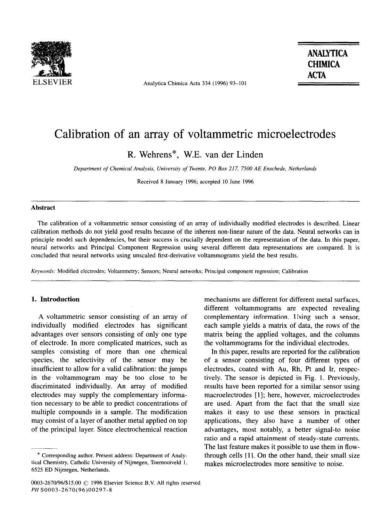

ELSEVIER Analytica Chimica Acta 334 (1996) 93-101

ANALYTICA CHIMICA ACTA

# Calibration of an array of voltammetric microelectrodes

R. Wehrens", W.E. van der Linden

*Department of Chemical Analysis, University of Twente, PO Box* 217, 7500 *AE Enschede, Netherlands* 

Received 8 January 1996; accepted 10 June 1996

#### **Abstract**

The calibration of a voltammetric sensor consisting of an array of individually modified electrodes is described. Linear calibration methods do not yield good results because of the inherent non-linear nature of the data. Neural networks can in principle model such dependencies, but their success is crucially dependent on the representation of the data. In this paper, neural networks and Principal Component Regression using several different data representations are compared. It is concluded that neural networks using unscaled first-derivative voltammograms yield the best results.

*Keywords:* Modified electrodes; Voltammetry; Sensors; Neural networks; Principal component regression; Calibration

# **1. Introduction**

A voltammetric sensor consisting of an array of individually modified electrodes has significant advantages over sensors consisting of only one type of electrode. In more complicated matrices, such as samples consisting of more than one chemical species, the selectivity of the sensor may be insufficient to allow for a valid calibration: the jumps in the voltammogram may be too close to be discriminated individually. An array of modified electrodes may supply the complementary information necessary to be able to predict concentrations of multiple compounds in a sample. The modification may consist of a layer of another metal applied on top of the principal layer. Since electrochemical reaction

\* Corresponding author. Present address: Department of Analytical Chemistry, Catholic University of Nijmegen, Toernooiveld 1, 6525 ED Nijmegen, Netherlands.

0003-2670/96/\$15.00 © 1996 Elsevier Science B.V. All rights reserved *PfI* SOOO3-2670(96)00297-8

mechanisms are different for different metal surfaces, different voltammograms are expected revealing complementary information. Using such a sensor, each sample yields a matrix of data, the rows of the matrix being the applied voltages, and the columns the voltammograms for the individual electrodes.

In this paper, results are reported for the calibration of a sensor consisting of four different types of electrodes, coated with Au, Rh, Pt and Ir, respectively. The sensor is depicted in Fig. 1. Previously, results have been reported for a similar sensor using macroelectrodes [1]; here, however, microelectrodes are used. Apart from the fact that the small size makes it easy to use these sensors in practical applications, they also have a number of other advantages, most notably, a better signal-to noise ratio and a rapid attainment of steady-state currents. The last feature makes it possible to use them in flowthrough cells [l]. On the other hand, their small size makes microelectrodes more sensitive to noise.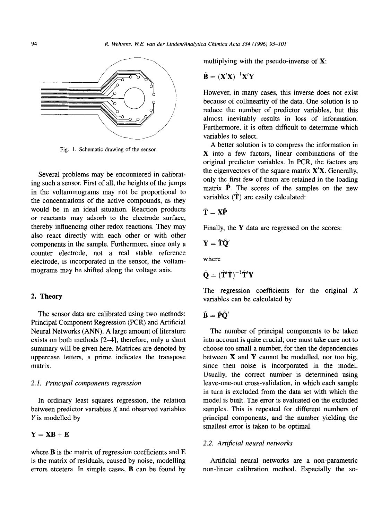

Fig. 1. Schematic drawing of the sensor.

Several problems may be encountered in calibrating such a sensor. First of all, the heights of the jumps in the voltammograms may not be proportional to the concentrations of the active compounds, as they would be in an ideal situation. Reaction products or reactants may adsorb to the electrode surface, thereby influencing other redox reactions. They may also react directly with each other or with other components in the sample. Furthermore, since only a counter electrode, not a real stable reference electrode, is incorporated in the sensor, the voltammograms may be shifted along the voltage axis.

# 2. **Theory**

The sensor data are calibrated using two methods: Principal Component Regression (PCR) and Artificial Neural Networks (ANN). A large amount of literature exists on both methods [2-4]; therefore, only a short summary will be given here. Matrices are denoted by uppercase letters, a prime indicates the transpose matrix.

## **2.1.** *Principal components regression*

In ordinary least squares regression, the relation between predictor variables X and observed variables Y is modelled by

$$
\mathbf{Y} = \mathbf{X}\mathbf{B} + \mathbf{E}
$$

where **B** is the matrix of regression coefficients and **E**  is the matrix of residuals, caused by noise, modelling errors etcetera. In simple cases, **B** can be found by multiplying with the pseudo-inverse of X:

$$
\hat{\mathbf{B}} = (\mathbf{X}'\mathbf{X})^{-1}\mathbf{X}'\mathbf{Y}
$$

However, in many cases, this inverse does not exist because of collinearity of the data. One solution is to reduce the number of predictor variables, but this almost inevitably results in loss of information. Furthermore, it is often difficult to determine which variables to select.

A better solution is to compress the information in X into a few factors, linear combinations of the original predictor variables. In PCR, the factors are the eigenvectors of the square matrix  $X'X$ . Generally, only the first few of them are retained in the loading matrix  $\hat{P}$ . The scores of the samples on the new variables  $(\hat{\mathbf{T}})$  are easily calculated:

$$
\hat{\mathbf{T}} = \mathbf{X}\hat{\mathbf{P}}
$$

Finally, the  $Y$  data are regressed on the scores:

$$
\mathbf{Y} = \mathbf{TQ}'
$$

where

$$
\hat{\mathbf{Q}} = (\hat{\mathbf{T}}'\hat{\mathbf{T}})^{-1}\hat{\mathbf{T}}'\mathbf{Y}
$$

The regression coefficients for the original  $X$ variables can be calculated by

# $\hat{\mathbf{B}} = \hat{\mathbf{P}} \hat{\mathbf{Q}}'$

The number of principal components to be taken into account is quite crucial; one must take care not to choose too small a number, for then the dependencies between  $X$  and  $Y$  cannot be modelled, nor too big, since then noise is incorporated in the model. Usually, the correct number is determined using leave-one-out cross-validation, in which each sample in turn is excluded from the data set with which the model is built. The error is evaluated on the excluded samples. This is repeated for different numbers of principal components, and the number yielding the smallest error is taken to be optimal.

#### 2.2. *Artijcial neural networks*

Artificial neural networks are a non-parametric non-linear calibration method. Especially the so-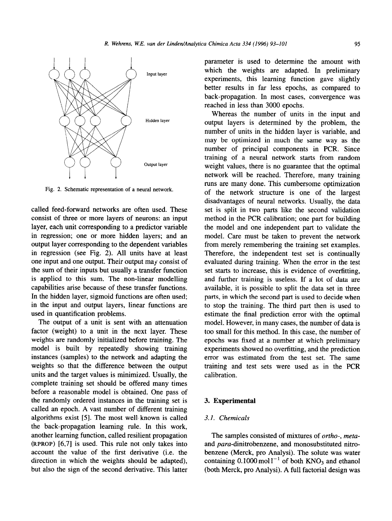

Fig. 2. Schematic representation of a neural network.

called feed-forward networks are often used. These consist of three or more layers of neurons: an input layer, each unit corresponding to a predictor variable in regression; one or more hidden layers; and an output layer corresponding to the dependent variables in regression (see Fig. 2). All units have at least one input and one output. Their output may consist of the sum of their inputs but usually a transfer function is applied to this sum. The non-linear modelling capabilities arise because of these transfer functions. In the hidden layer, sigmoid functions are often used; in the input and output layers, linear functions are used in quantification problems.

The output of a unit is sent with an attenuation factor (weight) to a unit in the next layer. These weights are randomly initialized before training. The model is built by repeatedly showing training instances (samples) to the network and adapting the weights so that the difference between the output units and the target values is minimized. Usually, the complete training set should be offered many times before a reasonable model is obtained. One pass of the randomly ordered instances in the training set is called an epoch. A vast number of different training algorithms exist [5]. The most well-known is called the back-propagation learning rule. In this work, another learning function, called resilient propagation **(RPROP)** [6,7] is used. This rule not only takes into account the value of the first derivative (i.e. the direction in which the weights should be adapted), but also the sign of the second derivative. This latter

parameter is used to determine the amount with which the weights are adapted. In preliminary experiments, this learning function gave slightly better results in far less epochs, as compared to back-propagation. In most cases, convergence was reached in less than 3000 epochs.

Whereas the number of units in the input and output layers is determined by the problem, the number of units in the hidden layer is variable, and may be optimized in much the same way as the number of principal components in PCR. Since training of a neural network starts from random weight values, there is no guarantee that the optimal network will be reached. Therefore, many training runs are many done. This cumbersome optimization of the network structure is one of the largest disadvantages of neural networks. Usually, the data set is split in two parts like the second validation method in the PCR calibration; one part for building the model and one independent part to validate the model. Care must be taken to prevent the network from merely remembering the training set examples. Therefore, the independent test set is continually evaluated during training. When the error in the test set starts to increase, this is evidence of overfitting, and further training is useless. If a lot of data are available, it is possible to split the data set in three parts, in which the second part is used to decide when to stop the training. The third part then is used to estimate the final prediction error with the optimal model. However, in many cases, the number of data is too small for this method. In this case, the number of epochs was fixed at a number at which preliminary experiments showed no overfitting, and the prediction error was estimated from the test set. The same training and test sets were used as in the PCR calibration.

## 3. **Experimental**

## **3.1.** *Chemicals*

The samples consisted of mixtures of *ortho-, meta*and para-dinitrobenzene, and monosubstituted nitrobenzene (Merck, pro Analysi). The solute was water containing 0.1000 mol  $1^{-1}$  of both KNO<sub>3</sub> and ethanol (both Merck, pro Analysi). A full factorial design was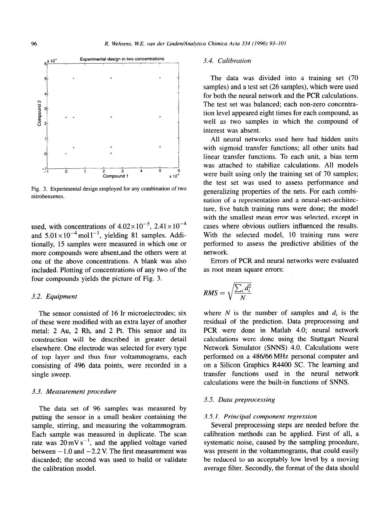

Fig. 3. Experimental design employed for any combination of two nitrobenzenes.

used, with concentrations of  $4.02 \times 10^{-5}$ ,  $2.41 \times 10^{-4}$ and  $5.01 \times 10^{-4}$  mol l<sup>-1</sup>, yielding 81 samples. Additionally, 15 samples were measured in which one or more compounds were absent,and the others were at one of the above concentrations. A blank was also included. Plotting of concentrations of any two of the four compounds yields the picture of Fig. 3.

## 3.2. *Equipment*

The sensor consisted of 16 Ir microelectrodes; six of these were modified with an extra layer of another metal: 2 Au, 2 Rh, and 2 Pt. This sensor and its construction will be described in greater detail elsewhere. One electrode was selected for every type of top layer and thus four voltammograms, each consisting of 496 data points, were recorded in a single sweep.

#### 3.3. *Measurement procedure*

The data set of 96 samples was measured by putting the sensor in a small beaker containing the sample, stirring, and measuring the voltammogram. Each sample was measured in duplicate. The scan rate was  $20 \text{ mV s}^{-1}$ , and the applied voltage varied between  $-1.0$  and  $-2.2$  V. The first measurement was discarded; the second was used to build or validate the calibration model.

#### *3.4. Calibration*

The data was divided into a training set (70 samples) and a test set (26 samples), which were used for both the neural network and the PCR calculations. The test set was balanced; each non-zero concentration level appeared eight times for each compound, as well as two samples in which the compound of interest was absent.

All neural networks used here had hidden units with sigmoid transfer functions; all other units had linear transfer functions. To each unit, a bias term was attached to stabilize calculations. All models were built using only the training set of 70 samples; the test set was used to assess performance and generalizing properties of the nets. For each combination of a representation and a neural-net-architecture, five batch training runs were done; the model with the smallest mean error was selected, except in cases where obvious outliers influenced the results. With the selected model, 10 training runs were performed to assess the predictive abilities of the network.

Errors of PCR and neural networks were evaluated as root mean square errors:

$$
RMS = \sqrt{\frac{\sum_i d_i^2}{N}}
$$

where  $N$  is the number of samples and  $d_i$  is the residual of the prediction. Data preprocessing and PCR were done in Matlab 4.0; neural network calculations were done using the Stuttgart Neural Network Simulator (SNNS) 4.0. Calculations were performed on a 486/66 MHz personal computer and on a Silicon Graphics R4400 SC. The learning and transfer functions used in the neural network calculations were the built-in functions of SNNS.

#### 3.5. *Data preprocessing*

#### 3.5.1. *Principal component regression*

Several preprocessing steps are needed before the calibration methods can be applied. First of all, a systematic noise, caused by the sampling procedure, was present in the voltammograms, that could easily be reduced to an acceptably low level by a moving average filter. Secondly, the format of the data should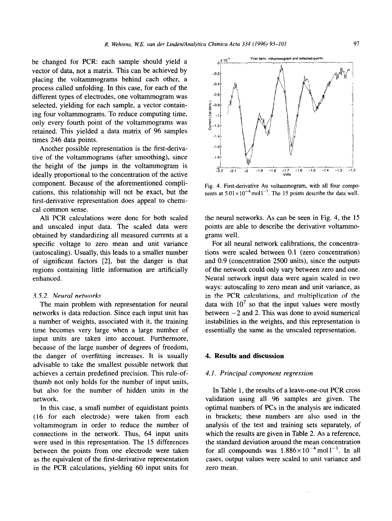be changed for PCR: each sample should yield a vector of data, not a matrix. This can be achieved by placing the voltammograms behind each other, a process called unfolding. In this case, for each of the different types of electrodes, one voltammogram was selected, yielding for each sample, a vector containing four voltammograms. To reduce computing time, only every fourth point of the voltammograms was retained. This yielded a data matrix of 96 samples times 246 data points.

Another possible representation is the first-derivative of the voltammograms (after smoothing), since the height of the jumps in the voltammogram is ideally proportional to the concentration of the active component. Because of the aforementioned complications, this relationship will not be exact, but the first-derivative representation does appeal to chemical common sense.

All PCR calculations were done for both scaled and unscaled input data. The scaled data were obtained by standardizing all measured currents at a specific voltage to zero mean and unit variance (autoscaling). Usually, this leads to a smaller number of significant factors [2], but the danger is that regions containing little information are artificially enhanced.

#### 3.5.2. *Neural networks*

The main problem with representation for neural networks is data reduction. Since each input unit has a number of weights, associated with it, the training time becomes very large when a large number of input units are taken into account. Furthermore, because of the large number of degrees of freedom, the danger of overfitting increases. It is usually advisable to take the smallest possible network that achieves a certain predefined precision. This rule-ofthumb not only holds for the number of input units, but also for the number of hidden units in the network.

In this case, a small number of equidistant points (16 for each electrode) were taken from each voltammogram in order to reduce the number of connections in the network. Thus, 64 input units were used in this representation. The 15 differences between the points from one electrode were taken as the equivalent of the first-derivative representation in the PCR calculations, yielding 60 input units for



Fig. 4. First-derivative Au voltammogram, with all four components at  $5.01 \times 10^{-4}$  mol  $1^{-1}$ . The 15 points describe the data well.

the neural networks. As can be seen in Fig. 4, the 15 points are able to describe the derivative voltammograms well.

For all neural network calibrations, the concentrations were scaled between 0.1 (zero concentration) and 0.9 (concentration 2500 units), since the outputs of the network could only vary between zero and one. Neural network input data were again scaled in two ways: autoscaling to zero mean and unit variance, as in the PCR calculations, and multiplication of the data with  $10^7$  so that the input values were mostly between  $-2$  and 2. This was done to avoid numerical instabilities in the weights, and this representation is essentially the same as the unscaled representation.

#### 4. **Results and discussion**

#### 4.1. *Principal component regression*

In Table 1, the results of a leave-one-out PCR cross validation using all 96 samples are given. The optimal numbers of PCs in the analysis are indicated in brackets; these numbers are also used in the analysis of the test and training sets separately, of which the results are given in Table 2. As a reference, the standard deviation around the mean concentration for all compounds was  $1.886 \times 10^{-4}$  moll<sup>-1</sup>. In all cases, output values were scaled to unit variance and zero mean.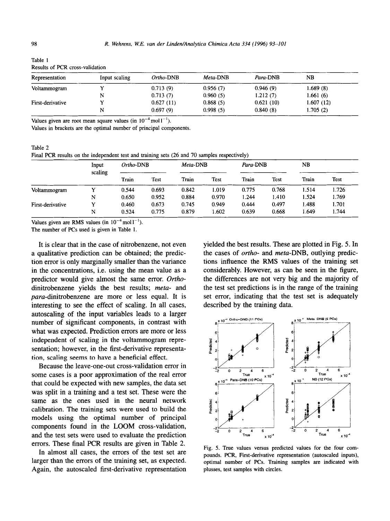| 1000100 01 1 010 01000 Tungunon |               |           |          |           |           |  |  |
|---------------------------------|---------------|-----------|----------|-----------|-----------|--|--|
| Representation                  | Input scaling | Ortho-DNB | Meta-DNB | Para-DNB  | NΒ        |  |  |
| Voltammogram                    |               | 0.713(9)  | 0.956(7) | 0.946(9)  | 1.689(8)  |  |  |
|                                 | N             | 0.713(7)  | 0.960(5) | 1.212(7)  | 1.661(6)  |  |  |
| First-derivative                |               | 0.627(11) | 0.868(5) | 0.621(10) | 1.607(12) |  |  |
|                                 | N             | 0.697(9)  | 0.998(5) | 0.840(8)  | 1.705(2)  |  |  |

Table 1 Results of PCR cross-validation

Values given are root mean square values (in  $10^{-4}$  mol  $1^{-1}$ ).

Values in brackets are the optimal number of principal components.

#### Table 2

Final PCR results on the independent test and training sets (26 and 70 samples respectively)

|                  | Input<br>scaling | Ortho-DNB |       | Meta-DNB |       | Para-DNB |       | NB    |       |
|------------------|------------------|-----------|-------|----------|-------|----------|-------|-------|-------|
|                  |                  | Train     | Test  | Train    | Test  | Train    | Test  | Train | Test  |
| Voltammogram     |                  | 0.544     | 0.693 | 0.842    | 1.019 | 0.775    | 0.768 | 1.514 | 1.726 |
|                  | N                | 0.650     | 0.952 | 0.884    | 0.970 | .244     | 1.410 | 1.524 | 1.769 |
| First-derivative |                  | 0.460     | 0.673 | 0.745    | 0.949 | 0.444    | 0.497 | l.488 | 1.701 |
|                  | N                | 0.524     | 0.775 | 0.879    | .602  | 0.639    | 0.668 | 1.649 | 1.744 |

Values given are RMS values (in  $10^{-4}$  mol $1^{-1}$ ).

The number of PCs used is given in Table 1.

It is clear that in the case of nitrobenzene, not even a qualitative prediction can be obtained; the prediction error is only marginally smaller than the variance in the concentrations, i.e. using the mean value as a predictor would give almost the same error. *Ortho*dinitrobenzene yields the best results; *metu-* and para-dinitrobenzene are more or less equal. It is interesting to see the effect of scaling. In all cases, autoscaling of the input variables leads to a larger number of significant components, in contrast with what was expected. Prediction errors are more or less independent of scaling in the voltammogram representation; however, in the first-derivative representation, scaling seems to have a beneficial effect.

Because the leave-one-out cross-validation error in some cases is a poor approximation of the real error that could be expected with new samples, the data set was split in a training and a test set. These were the same as the ones used in the neural network calibration. The training sets were used to build the models using the optimal number of principal components found in the LOOM cross-validation, and the test sets were used to evaluate the prediction errors. These final PCR results are given in Table 2.

In almost all cases, the errors of the test set are larger than the errors of the training set, as expected. Again, the autoscaled first-derivative representation yielded the best results. These are plotted in Fig. 5. In the cases of *ortho-* and *meta-DNB*, outlying predictions influence the RMS values of the training set considerably. However, as can be seen in the figure, the differences are not very big and the majority of the test set predictions is in the range of the training set error, indicating that the test set is adequately described by the training data.



Fig. 5. True values versus predicted values for the four compounds. PCR, First-derivative representation (autoscaled inputs), optimal number of PCs. Training samples are indicated with plusses, test samples with circles.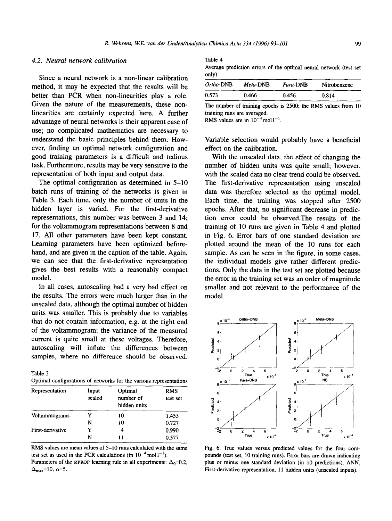# 4.2. *Neural network calibration* Table 4

Since a neural network is a non-linear calibration  $\frac{0 \text{mly}}{2}$ method, it may be expected that the results will be better than PCR when non-linearities play a role. Given the nature of the measurements, these nonlinearities are certainly expected here. A further advantage of neural networks is their apparent ease of use; no complicated mathematics are necessary to understand the basic principles behind them. However, finding an optimal network configuration and good training parameters is a difficult and tedious task. Furthermore, results may be very sensitive to the representation of both input and output data.

The optimal configuration as determined in 5-10 batch runs of training of the networks is given in Table 3. Each time, only the number of units in the hidden layer is varied. For the first-derivative representations, this number was between 3 and 14; for the voltammogram representations between 8 and 17. All other parameters have been kept constant. Learning parameters have been optimized beforehand, and are given in the caption of the table. Again, we can see that the first-derivative representation gives the best results with a reasonably compact model.

In all cases, autoscaling had a very bad effect on the results. The errors were much larger than in the unscaled data, although the optimal number of hidden units was smaller. This is probably due to variables that do not contain information, e.g. at the right end of the voltammogram: the variance of the measured current is quite small at these voltages. Therefore, autoscaling will inflate the differences between samples, where no difference should be observed.

Table 3

| Optimal configurations of networks for the various representations |  |  |  |  |  |  |
|--------------------------------------------------------------------|--|--|--|--|--|--|
|--------------------------------------------------------------------|--|--|--|--|--|--|

| Representation       | Input<br>scaled | Optimal<br>number of<br>hidden units | <b>RMS</b><br>test set |  |
|----------------------|-----------------|--------------------------------------|------------------------|--|
| <b>Voltammograms</b> | Y               | 10                                   | 1.453                  |  |
|                      | N               | 10                                   | 0.727                  |  |
| First-derivative     | Y               |                                      | 0.990                  |  |
|                      | N               | 11                                   | 0.577                  |  |

RMS values are mean values of 5-10 runs calculated with the same test set as used in the PCR calculations (in  $10^{-4}$  mol  $1^{-1}$ ). Parameters of the **RPROP** learning rule in all experiments:  $\Delta_0=0.2$ ,  $\Delta_{\text{max}}=10, \ \alpha=5.$ 

Average prediction errors of the optimal neural network (test set

| Ortho-DNB | Meta-DNB | Para-DNB | Nitrobenzene |
|-----------|----------|----------|--------------|
| 0.573     | 0.466    | 0.456    | 0.814        |

The number of training epochs is 2500; the RMS values from 10 training runs are averaged. RMS values are in  $10^{-4}$  mol $1^{-1}$ .

Variable selection would probably have a beneficial effect on the calibration.

With the unscaled data, the effect of changing the number of hidden units was quite small; however, with the scaled data no clear trend could be observed. The first-derivative representation using unscaled data was therefore selected as the optimal model. Each time, the training was stopped after 2500 epochs. After that, no significant decrease in prediction error could be observed-The results of the training of 10 runs are given in Table 4 and plotted in Fig. 6. Error bars of one standard deviation are plotted around the mean of the 10 runs for each sample. As can be seen in the figure, in some cases, the individual models give rather different predictions. Only the data in the test set are plotted because the error in the training set was an order of magnitude smaller and not relevant to the performance of the model.



Fig. 6. True values versus predicted values for the four compounds (test set, 10 training runs). Error bars are drawn indicating plus or minus one standard deviation (in 10 predictions). ANN, First-derivative representation, 11 hidden units (unscaled inputs).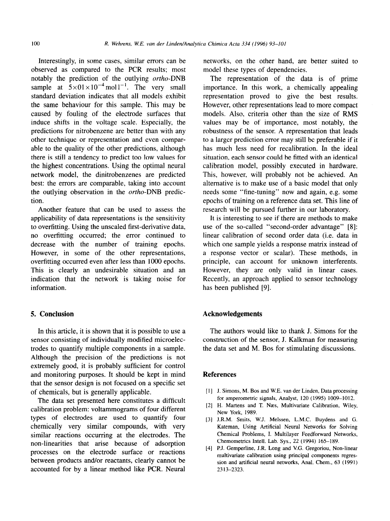Interestingly, in some cases, similar errors can be observed as compared to the PCR results; most notably the prediction of the outlying *ortho-DNB* sample at  $5 \times 01 \times 10^{-4}$  mol 1<sup>-1</sup>. The very small standard deviation indicates that all models exhibit the same behaviour for this sample. This may be caused by fouling of the electrode surfaces that induce shifts in the voltage scale. Especially, the predictions for nitrobenzene are better than with any other technique or representation and even comparable to the quality of the other predictions, although there is still a tendency to predict too low values for the highest concentrations. Using the optimal neural network model, the dinitrobenzenes are predicted best: the errors are comparable, taking into account the outlying observation in the ortho-DNB prediction.

Another feature that can be used to assess the applicability of data representations is the sensitivity to overfitting. Using the unscaled first-derivative data, no overtitting occurred; the error continued to decrease with the number of training epochs. However, in some of the other representations, overfitting occurred even after less than 1000 epochs. This is clearly an undesirable situation and an indication that the network is taking noise for information.

# 5. **Conclusion**

In this article, it is shown that it is possible to use a sensor consisting of individually modified microelectrodes to quantify multiple components in a sample. Although the precision of the predictions is not extremely good, it is probably sufficient for control and monitoring purposes. It should be kept in mind that the sensor design is not focused on a specific set of chemicals, but is generally applicable.

The data set presented here constitutes a difficult calibration problem: voltammograms of four different types of electrodes are used to quantify four chemically very similar compounds, with very similar reactions occurring at the electrodes. The non-linearities that arise because of adsorption processes on the electrode surface or reactions between products and/or reactants, clearly cannot be accounted for by a linear method like PCR. Neural

networks, on the other hand, are better suited to model these types of dependencies.

The representation of the data is of prime importance. In this work, a chemically appealing representation proved to give the best results. However, other representations lead to more compact models. Also, criteria other than the size of RMS values may be of importance, most notably, the robustness of the sensor. A representation that leads to a larger prediction error may still be preferable if it has much less need for recalibration. In the ideal situation, each sensor could be fitted with an identical calibration model, possibly executed in hardware. This, however, will probably not be achieved. An alternative is to make use of a basic model that only needs some "fine-tuning" now and again, e.g. some epochs of training on a reference data set. This line of research will be pursued further in our laboratory.

It is interesting to see if there are methods to make use of the so-called "second-order advantage" [8]: linear calibration of second order data (i.e. data in which one sample yields a response matrix instead of a response vector or scalar). These methods, in principle, can account for unknown interferents. However, they are only valid in linear cases. Recently, an approach applied to sensor technology has been published [9].

# **Acknowledgements**

The authors would like to thank J. Simons for the construction of the sensor, J. Kalkman for measuring the data set and M. Bos for stimulating discussions.

## **References**

- [II J. Simons, M. Bos and W.E. van der Linden, Data processing for amperometric signals, Analyst, 120 (1995) 1009-1012.
- [2] H. Martens and T. Næs, Multivariate Calibration, Wiley, New York, 1989.
- **[31**  J.R.M. Smits, W.J. Melssen, L.M.C. Buydens and G. Kateman, Using Artificial Neural Networks for Solving Chemical Problems, I. Multilayer Feedforward Networks, Chemometrics Intell. Lab. Sys., 22 (1994) 165-189.
- [4] P.J. Gemperline, J.R. Long and V.G. Gregoriou, Non-linear multivariate calibration using principal components regression and artificial neural networks, Anal. Chem., 63 (1991) 23 13-2323.